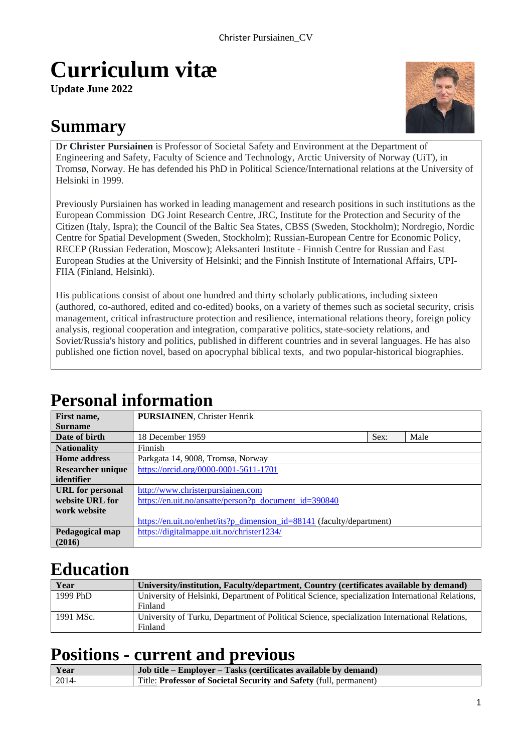# **Curriculum vitæ**

**Update June 2022**

## **Summary**



**Dr Christer Pursiainen** is Professor of Societal Safety and Environment at the Department of Engineering and Safety, Faculty of Science and Technology, Arctic University of Norway (UiT), in Tromsø, Norway. He has defended his PhD in Political Science/International relations at the University of Helsinki in 1999.

Previously Pursiainen has worked in leading management and research positions in such institutions as the European Commission DG Joint Research Centre, JRC, Institute for the Protection and Security of the Citizen (Italy, Ispra); the Council of the Baltic Sea States, CBSS (Sweden, Stockholm); Nordregio, Nordic Centre for Spatial Development (Sweden, Stockholm); Russian-European Centre for Economic Policy, RECEP (Russian Federation, Moscow); Aleksanteri Institute - Finnish Centre for Russian and East European Studies at the University of Helsinki; and the Finnish Institute of International Affairs, UPI-FIIA (Finland, Helsinki).

His publications consist of about one hundred and thirty scholarly publications, including sixteen (authored, co-authored, edited and co-edited) books, on a variety of themes such as societal security, crisis management, critical infrastructure protection and resilience, international relations theory, foreign policy analysis, regional cooperation and integration, comparative politics, state-society relations, and Soviet/Russia's history and politics, published in different countries and in several languages. He has also published one fiction novel, based on apocryphal biblical texts, and two popular-historical biographies.

## **Personal information**

| First name,              | <b>PURSIAINEN, Christer Henrik</b>                                    |      |      |
|--------------------------|-----------------------------------------------------------------------|------|------|
| <b>Surname</b>           |                                                                       |      |      |
| Date of birth            | 18 December 1959                                                      | Sex: | Male |
| <b>Nationality</b>       | <b>Finnish</b>                                                        |      |      |
| <b>Home address</b>      | Parkgata 14, 9008, Tromsø, Norway                                     |      |      |
| <b>Researcher unique</b> | https://orcid.org/0000-0001-5611-1701                                 |      |      |
| identifier               |                                                                       |      |      |
| <b>URL</b> for personal  | http://www.christerpursiainen.com                                     |      |      |
| website URL for          | https://en.uit.no/ansatte/person?p document id=390840                 |      |      |
| work website             |                                                                       |      |      |
|                          | https://en.uit.no/enhet/its?p dimension id=88141 (faculty/department) |      |      |
| Pedagogical map          | https://digitalmappe.uit.no/christer1234/                             |      |      |
| (2016)                   |                                                                       |      |      |

## **Education**

| Year      | University/institution, Faculty/department, Country (certificates available by demand)           |
|-----------|--------------------------------------------------------------------------------------------------|
| 1999 PhD  | University of Helsinki, Department of Political Science, specialization International Relations, |
|           | Finland                                                                                          |
| 1991 MSc. | University of Turku, Department of Political Science, specialization International Relations,    |
|           | Finland                                                                                          |

## **Positions - current and previous**

| Year  | Job title – Employer – Tasks (certificates available by demand)    |
|-------|--------------------------------------------------------------------|
| 2014- | Title: Professor of Societal Security and Safety (full, permanent) |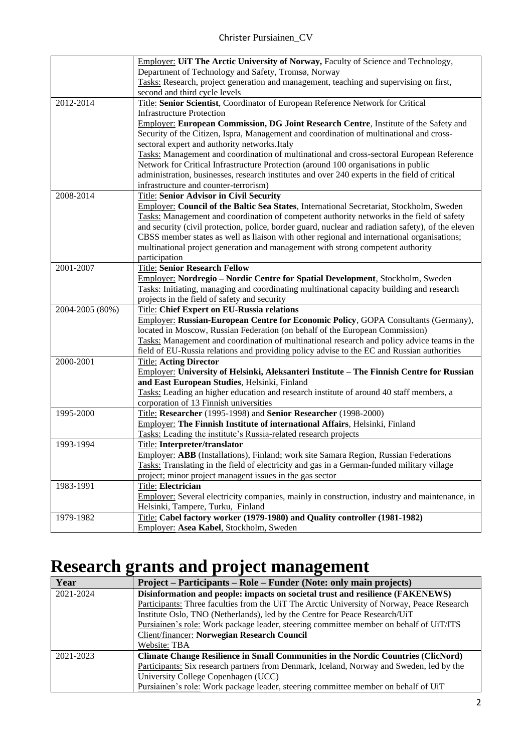|                 | Employer: UiT The Arctic University of Norway, Faculty of Science and Technology,                  |
|-----------------|----------------------------------------------------------------------------------------------------|
|                 | Department of Technology and Safety, Tromsø, Norway                                                |
|                 | Tasks: Research, project generation and management, teaching and supervising on first,             |
|                 | second and third cycle levels                                                                      |
| 2012-2014       | Title: Senior Scientist, Coordinator of European Reference Network for Critical                    |
|                 | <b>Infrastructure Protection</b>                                                                   |
|                 | <b>Employer: European Commission, DG Joint Research Centre, Institute of the Safety and</b>        |
|                 | Security of the Citizen, Ispra, Management and coordination of multinational and cross-            |
|                 | sectoral expert and authority networks. Italy                                                      |
|                 | Tasks: Management and coordination of multinational and cross-sectoral European Reference          |
|                 | Network for Critical Infrastructure Protection (around 100 organisations in public                 |
|                 | administration, businesses, research institutes and over 240 experts in the field of critical      |
|                 | infrastructure and counter-terrorism)                                                              |
| 2008-2014       | <b>Title: Senior Advisor in Civil Security</b>                                                     |
|                 | Employer: Council of the Baltic Sea States, International Secretariat, Stockholm, Sweden           |
|                 | Tasks: Management and coordination of competent authority networks in the field of safety          |
|                 | and security (civil protection, police, border guard, nuclear and radiation safety), of the eleven |
|                 | CBSS member states as well as liaison with other regional and international organisations;         |
|                 | multinational project generation and management with strong competent authority                    |
|                 | participation                                                                                      |
| 2001-2007       | <b>Title: Senior Research Fellow</b>                                                               |
|                 | Employer: Nordregio – Nordic Centre for Spatial Development, Stockholm, Sweden                     |
|                 | Tasks: Initiating, managing and coordinating multinational capacity building and research          |
|                 | projects in the field of safety and security                                                       |
| 2004-2005 (80%) | Title: Chief Expert on EU-Russia relations                                                         |
|                 | Employer: Russian-European Centre for Economic Policy, GOPA Consultants (Germany),                 |
|                 | located in Moscow, Russian Federation (on behalf of the European Commission)                       |
|                 | Tasks: Management and coordination of multinational research and policy advice teams in the        |
|                 | field of EU-Russia relations and providing policy advise to the EC and Russian authorities         |
| 2000-2001       | <b>Title: Acting Director</b>                                                                      |
|                 | <b>Employer: University of Helsinki, Aleksanteri Institute - The Finnish Centre for Russian</b>    |
|                 | and East European Studies, Helsinki, Finland                                                       |
|                 | Tasks: Leading an higher education and research institute of around 40 staff members, a            |
|                 | corporation of 13 Finnish universities                                                             |
| 1995-2000       | Title: Researcher (1995-1998) and Senior Researcher (1998-2000)                                    |
|                 | Employer: The Finnish Institute of international Affairs, Helsinki, Finland                        |
|                 | Tasks: Leading the institute's Russia-related research projects                                    |
| 1993-1994       | Title: Interpreter/translator                                                                      |
|                 | Employer: ABB (Installations), Finland; work site Samara Region, Russian Federations               |
|                 | Tasks: Translating in the field of electricity and gas in a German-funded military village         |
|                 | project; minor project managent issues in the gas sector                                           |
| 1983-1991       | <b>Title: Electrician</b>                                                                          |
|                 | Employer: Several electricity companies, mainly in construction, industry and maintenance, in      |
|                 | Helsinki, Tampere, Turku, Finland                                                                  |
| 1979-1982       | Title: Cabel factory worker (1979-1980) and Quality controller (1981-1982)                         |
|                 | Employer: Asea Kabel, Stockholm, Sweden                                                            |

## **Research grants and project management**

| Year      | Project – Participants – Role – Funder (Note: only main projects)                          |  |
|-----------|--------------------------------------------------------------------------------------------|--|
| 2021-2024 | Disinformation and people: impacts on societal trust and resilience (FAKENEWS)             |  |
|           | Participants: Three faculties from the UiT The Arctic University of Norway, Peace Research |  |
|           | Institute Oslo, TNO (Netherlands), led by the Centre for Peace Research/UiT                |  |
|           | Pursiainen's role: Work package leader, steering committee member on behalf of UiT/ITS     |  |
|           | Client/financer: Norwegian Research Council                                                |  |
|           | Website: TBA                                                                               |  |
| 2021-2023 | <b>Climate Change Resilience in Small Communities in the Nordic Countries (ClicNord)</b>   |  |
|           | Participants: Six research partners from Denmark, Iceland, Norway and Sweden, led by the   |  |
|           | University College Copenhagen (UCC)                                                        |  |
|           | Pursiainen's role: Work package leader, steering committee member on behalf of UiT         |  |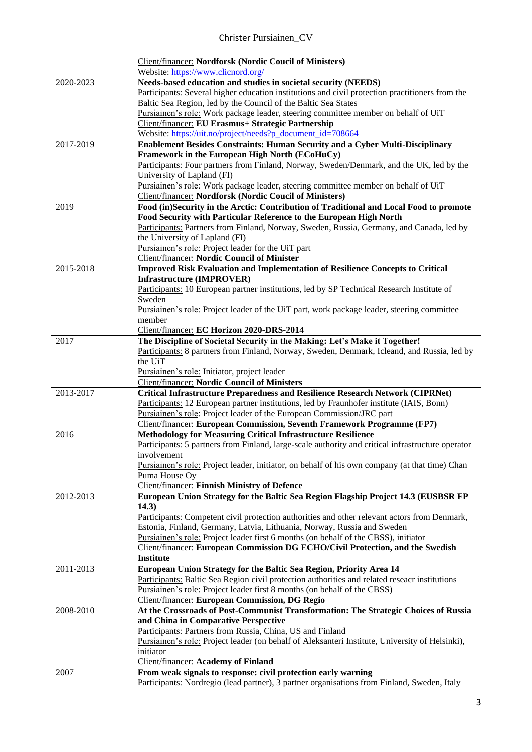|           | <b>Client/financer: Nordforsk (Nordic Coucil of Ministers)</b>                                    |
|-----------|---------------------------------------------------------------------------------------------------|
|           | Website: https://www.clicnord.org/                                                                |
| 2020-2023 | Needs-based education and studies in societal security (NEEDS)                                    |
|           | Participants: Several higher education institutions and civil protection practitioners from the   |
|           | Baltic Sea Region, led by the Council of the Baltic Sea States                                    |
|           | Pursiainen's role: Work package leader, steering committee member on behalf of UiT                |
|           | Client/financer: EU Erasmus+ Strategic Partnership                                                |
|           | Website: https://uit.no/project/needs?p document id=708664                                        |
| 2017-2019 | Enablement Besides Constraints: Human Security and a Cyber Multi-Disciplinary                     |
|           | Framework in the European High North (ECoHuCy)                                                    |
|           | Participants: Four partners from Finland, Norway, Sweden/Denmark, and the UK, led by the          |
|           | University of Lapland (FI)                                                                        |
|           | Pursiainen's role: Work package leader, steering committee member on behalf of UiT                |
|           | <b>Client/financer: Nordforsk (Nordic Coucil of Ministers)</b>                                    |
| 2019      | Food (in)Security in the Arctic: Contribution of Traditional and Local Food to promote            |
|           | Food Security with Particular Reference to the European High North                                |
|           | Participants: Partners from Finland, Norway, Sweden, Russia, Germany, and Canada, led by          |
|           | the University of Lapland (FI)                                                                    |
|           | Pursiainen's role: Project leader for the UiT part                                                |
|           | <b>Client/financer: Nordic Council of Minister</b>                                                |
| 2015-2018 | <b>Improved Risk Evaluation and Implementation of Resilience Concepts to Critical</b>             |
|           | <b>Infrastructure (IMPROVER)</b>                                                                  |
|           | Participants: 10 European partner institutions, led by SP Technical Research Institute of         |
|           | Sweden                                                                                            |
|           | Pursiainen's role: Project leader of the UiT part, work package leader, steering committee        |
|           | member                                                                                            |
|           | Client/financer: EC Horizon 2020-DRS-2014                                                         |
| 2017      | The Discipline of Societal Security in the Making: Let's Make it Together!                        |
|           | Participants: 8 partners from Finland, Norway, Sweden, Denmark, Icleand, and Russia, led by       |
|           | the UiT                                                                                           |
|           | Pursiainen's role: Initiator, project leader                                                      |
|           | <b>Client/financer: Nordic Council of Ministers</b>                                               |
| 2013-2017 | <b>Critical Infrastructure Preparedness and Resilience Research Network (CIPRNet)</b>             |
|           | Participants: 12 European partner institutions, led by Fraunhofer institute (IAIS, Bonn)          |
|           | Pursiainen's role: Project leader of the European Commission/JRC part                             |
|           | <b>Client/financer: European Commission, Seventh Framework Programme (FP7)</b>                    |
| 2016      | <b>Methodology for Measuring Critical Infrastructure Resilience</b>                               |
|           | Participants: 5 partners from Finland, large-scale authority and critical infrastructure operator |
|           | involvement                                                                                       |
|           | Pursiainen's role: Project leader, initiator, on behalf of his own company (at that time) Chan    |
|           | Puma House Oy                                                                                     |
|           | <b>Client/financer: Finnish Ministry of Defence</b>                                               |
| 2012-2013 | European Union Strategy for the Baltic Sea Region Flagship Project 14.3 (EUSBSR FP                |
|           | 14.3)                                                                                             |
|           | Participants: Competent civil protection authorities and other relevant actors from Denmark,      |
|           | Estonia, Finland, Germany, Latvia, Lithuania, Norway, Russia and Sweden                           |
|           | Pursiainen's role: Project leader first 6 months (on behalf of the CBSS), initiator               |
|           | <b>Client/financer: European Commission DG ECHO/Civil Protection, and the Swedish</b>             |
|           | <b>Institute</b>                                                                                  |
| 2011-2013 | European Union Strategy for the Baltic Sea Region, Priority Area 14                               |
|           | Participants: Baltic Sea Region civil protection authorities and related reseacr institutions     |
|           | Pursiainen's role: Project leader first 8 months (on behalf of the CBSS)                          |
|           | <b>Client/financer: European Commission, DG Regio</b>                                             |
| 2008-2010 | At the Crossroads of Post-Communist Transformation: The Strategic Choices of Russia               |
|           | and China in Comparative Perspective                                                              |
|           | Participants: Partners from Russia, China, US and Finland                                         |
|           | Pursiainen's role: Project leader (on behalf of Aleksanteri Institute, University of Helsinki),   |
|           | initiator                                                                                         |
|           | <b>Client/financer: Academy of Finland</b>                                                        |
| 2007      | From weak signals to response: civil protection early warning                                     |
|           | Participants: Nordregio (lead partner), 3 partner organisations from Finland, Sweden, Italy       |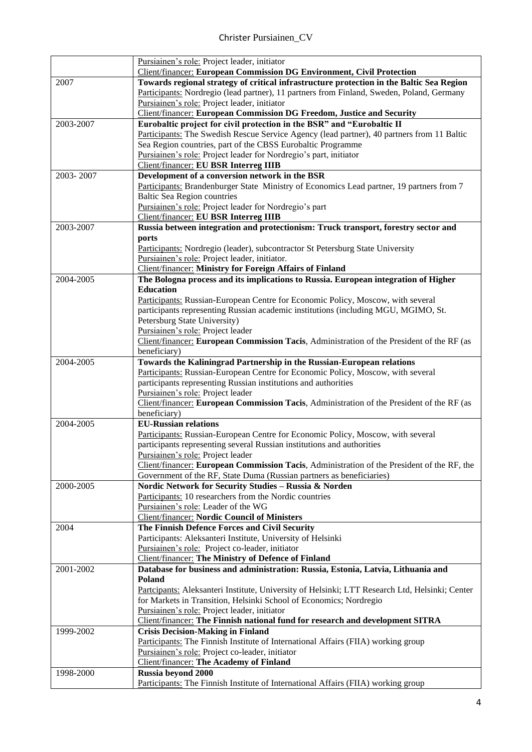|           | Pursiainen's role: Project leader, initiator                                                                                                              |
|-----------|-----------------------------------------------------------------------------------------------------------------------------------------------------------|
|           | <b>Client/financer: European Commission DG Environment, Civil Protection</b>                                                                              |
| 2007      | Towards regional strategy of critical infrastructure protection in the Baltic Sea Region                                                                  |
|           | Participants: Nordregio (lead partner), 11 partners from Finland, Sweden, Poland, Germany                                                                 |
|           | Pursiainen's role: Project leader, initiator                                                                                                              |
|           | <b>Client/financer: European Commission DG Freedom, Justice and Security</b>                                                                              |
| 2003-2007 | Eurobaltic project for civil protection in the BSR" and "Eurobaltic II                                                                                    |
|           | Participants: The Swedish Rescue Service Agency (lead partner), 40 partners from 11 Baltic                                                                |
|           | Sea Region countries, part of the CBSS Eurobaltic Programme                                                                                               |
|           | Pursiainen's role: Project leader for Nordregio's part, initiator                                                                                         |
|           | <b>Client/financer: EU BSR Interreg IIIB</b>                                                                                                              |
| 2003-2007 | Development of a conversion network in the BSR                                                                                                            |
|           | Participants: Brandenburger State Ministry of Economics Lead partner, 19 partners from 7                                                                  |
|           | <b>Baltic Sea Region countries</b>                                                                                                                        |
|           | Pursiainen's role: Project leader for Nordregio's part                                                                                                    |
|           | <b>Client/financer: EU BSR Interreg IIIB</b>                                                                                                              |
| 2003-2007 | Russia between integration and protectionism: Truck transport, forestry sector and                                                                        |
|           | ports                                                                                                                                                     |
|           | Participants: Nordregio (leader), subcontractor St Petersburg State University                                                                            |
|           | Pursiainen's role: Project leader, initiator.                                                                                                             |
|           | <b>Client/financer: Ministry for Foreign Affairs of Finland</b>                                                                                           |
| 2004-2005 | The Bologna process and its implications to Russia. European integration of Higher                                                                        |
|           | <b>Education</b>                                                                                                                                          |
|           | Participants: Russian-European Centre for Economic Policy, Moscow, with several                                                                           |
|           | participants representing Russian academic institutions (including MGU, MGIMO, St.                                                                        |
|           | Petersburg State University)                                                                                                                              |
|           | Pursiainen's role: Project leader                                                                                                                         |
|           | Client/financer: European Commission Tacis, Administration of the President of the RF (as                                                                 |
|           | beneficiary)                                                                                                                                              |
| 2004-2005 | Towards the Kaliningrad Partnership in the Russian-European relations                                                                                     |
|           | Participants: Russian-European Centre for Economic Policy, Moscow, with several                                                                           |
|           | participants representing Russian institutions and authorities                                                                                            |
|           | Pursiainen's role: Project leader                                                                                                                         |
|           | Client/financer: European Commission Tacis, Administration of the President of the RF (as                                                                 |
|           | beneficiary)<br><b>EU-Russian relations</b>                                                                                                               |
| 2004-2005 |                                                                                                                                                           |
|           | Participants: Russian-European Centre for Economic Policy, Moscow, with several<br>participants representing several Russian institutions and authorities |
|           | Pursiainen's role: Project leader                                                                                                                         |
|           | Client/financer: European Commission Tacis, Administration of the President of the RF, the                                                                |
|           | Government of the RF, State Duma (Russian partners as beneficiaries)                                                                                      |
| 2000-2005 | Nordic Network for Security Studies - Russia & Norden                                                                                                     |
|           | Participants: 10 researchers from the Nordic countries                                                                                                    |
|           | Pursiainen's role: Leader of the WG                                                                                                                       |
|           | <b>Client/financer: Nordic Council of Ministers</b>                                                                                                       |
| 2004      | The Finnish Defence Forces and Civil Security                                                                                                             |
|           | Participants: Aleksanteri Institute, University of Helsinki                                                                                               |
|           | Pursiainen's role: Project co-leader, initiator                                                                                                           |
|           | <b>Client/financer: The Ministry of Defence of Finland</b>                                                                                                |
| 2001-2002 | Database for business and administration: Russia, Estonia, Latvia, Lithuania and                                                                          |
|           | Poland                                                                                                                                                    |
|           | Partcipants: Aleksanteri Institute, University of Helsinki; LTT Research Ltd, Helsinki; Center                                                            |
|           | for Markets in Transition, Helsinki School of Economics; Nordregio                                                                                        |
|           | Pursiainen's role: Project leader, initiator                                                                                                              |
|           | <b>Client/financer:</b> The Finnish national fund for research and development SITRA                                                                      |
| 1999-2002 | <b>Crisis Decision-Making in Finland</b>                                                                                                                  |
|           | Participants: The Finnish Institute of International Affairs (FIIA) working group                                                                         |
|           | Pursiainen's role: Project co-leader, initiator                                                                                                           |
|           | <b>Client/financer:</b> The Academy of Finland                                                                                                            |
| 1998-2000 | <b>Russia beyond 2000</b>                                                                                                                                 |
|           | Participants: The Finnish Institute of International Affairs (FIIA) working group                                                                         |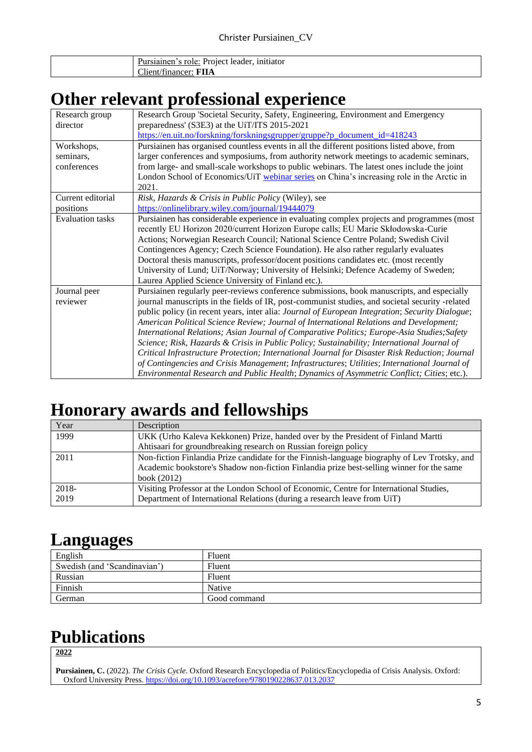| initiator<br>role:<br>. leader<br>$\sin$ anen $\sin$<br>Projec<br>.<br>. . |
|----------------------------------------------------------------------------|
| $\sim$<br><b>TITT</b><br>$\sim$ 1<br>CPT<br>lient<br>11nanc<br>. LP        |

## **Other relevant professional experience**

| Research group<br>director | Research Group 'Societal Security, Safety, Engineering, Environment and Emergency<br>preparedness' (S3E3) at the UiT/ITS 2015-2021 |
|----------------------------|------------------------------------------------------------------------------------------------------------------------------------|
|                            | https://en.uit.no/forskning/forskningsgrupper/gruppe?p_document_id=418243                                                          |
| Workshops,                 | Pursiainen has organised countless events in all the different positions listed above, from                                        |
| seminars,                  | larger conferences and symposiums, from authority network meetings to academic seminars,                                           |
| conferences                | from large- and small-scale workshops to public webinars. The latest ones include the joint                                        |
|                            | London School of Economics/UiT webinar series on China's increasing role in the Arctic in<br>2021.                                 |
| Current editorial          | Risk, Hazards & Crisis in Public Policy (Wiley), see                                                                               |
| positions                  | https://onlinelibrary.wiley.com/journal/19444079                                                                                   |
| <b>Evaluation</b> tasks    | Pursiainen has considerable experience in evaluating complex projects and programmes (most                                         |
|                            | recently EU Horizon 2020/current Horizon Europe calls; EU Marie Skłodowska-Curie                                                   |
|                            | Actions; Norwegian Research Council; National Science Centre Poland; Swedish Civil                                                 |
|                            | Contingences Agency; Czech Science Foundation). He also rather regularly evaluates                                                 |
|                            | Doctoral thesis manuscripts, professor/docent positions candidates etc. (most recently                                             |
|                            | University of Lund; UiT/Norway; University of Helsinki; Defence Academy of Sweden;                                                 |
|                            | Laurea Applied Science University of Finland etc.).                                                                                |
| Journal peer               | Pursiainen regularly peer-reviews conference submissions, book manuscripts, and especially                                         |
| reviewer                   | journal manuscripts in the fields of IR, post-communist studies, and societal security -related                                    |
|                            | public policy (in recent years, inter alia: Journal of European Integration; Security Dialogue;                                    |
|                            | American Political Science Review; Journal of International Relations and Development;                                             |
|                            | International Relations; Asian Journal of Comparative Politics; Europe-Asia Studies; Safety                                        |
|                            | Science; Risk, Hazards & Crisis in Public Policy; Sustainability; International Journal of                                         |
|                            | Critical Infrastructure Protection; International Journal for Disaster Risk Reduction; Journal                                     |
|                            | of Contingencies and Crisis Management; Infrastructures; Utilities; International Journal of                                       |
|                            | Environmental Research and Public Health; Dynamics of Asymmetric Conflict; Cities; etc.).                                          |

## **Honorary awards and fellowships**

| Year  | Description                                                                                  |
|-------|----------------------------------------------------------------------------------------------|
| 1999  | UKK (Urho Kaleva Kekkonen) Prize, handed over by the President of Finland Martti             |
|       | Ahtisaari for groundbreaking research on Russian foreign policy                              |
| 2011  | Non-fiction Finlandia Prize candidate for the Finnish-language biography of Lev Trotsky, and |
|       | Academic bookstore's Shadow non-fiction Finlandia prize best-selling winner for the same     |
|       | book $(2012)$                                                                                |
| 2018- | Visiting Professor at the London School of Economic, Centre for International Studies,       |
| 2019  | Department of International Relations (during a research leave from UiT)                     |

### **Languages**

| $\sim$<br>English            | Fluent       |
|------------------------------|--------------|
| Swedish (and 'Scandinavian') | Fluent       |
| Russian                      | Fluent       |
| Finnish                      | Native       |
| German                       | Good command |

## **Publications**

**2022**

**Pursiainen, C.** (2022). *The Crisis Cycle*. Oxford Research Encyclopedia of Politics/Encyclopedia of Crisis Analysis. Oxford: Oxford University Press. <https://doi.org/10.1093/acrefore/9780190228637.013.2037>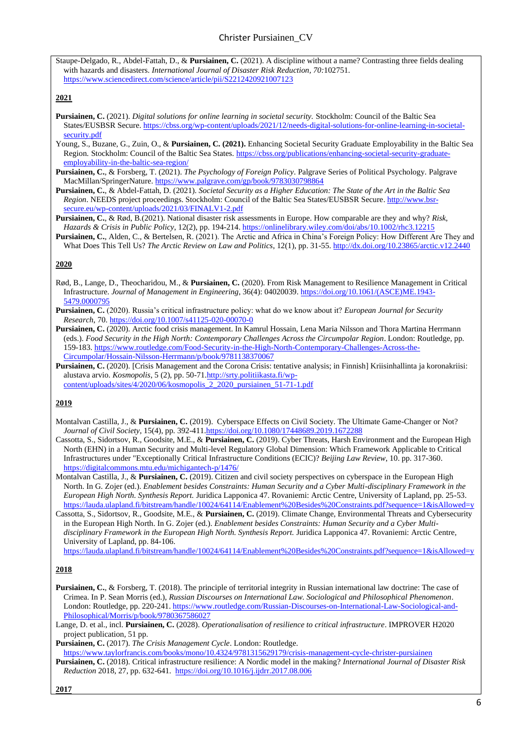Staupe-Delgado, R., Abdel-Fattah, D., & **Pursiainen, C.** (2021). A discipline without a name? Contrasting three fields dealing with hazards and disasters. *International Journal of Disaster Risk Reduction, 70:*102751. <https://www.sciencedirect.com/science/article/pii/S2212420921007123>

#### **2021**

- **Pursiainen, C.** (2021). *Digital solutions for online learning in societal security.* Stockholm: Council of the Baltic Sea States/EUSBSR Secure. [https://cbss.org/wp-content/uploads/2021/12/needs-digital-solutions-for-online-learning-in-societal](https://cbss.org/wp-content/uploads/2021/12/needs-digital-solutions-for-online-learning-in-societal-security.pdf)[security.pdf](https://cbss.org/wp-content/uploads/2021/12/needs-digital-solutions-for-online-learning-in-societal-security.pdf)
- Young, S., Buzane, G., Zuin, O., & **Pursiainen, C. (2021).** Enhancing Societal Security Graduate Employability in the Baltic Sea Region. Stockholm: Council of the Baltic Sea States[. https://cbss.org/publications/enhancing-societal-security-graduate](https://cbss.org/publications/enhancing-societal-security-graduate-employability-in-the-baltic-sea-region/)[employability-in-the-baltic-sea-region/](https://cbss.org/publications/enhancing-societal-security-graduate-employability-in-the-baltic-sea-region/)
- **Pursiainen, C.**, & Forsberg, T. (2021). *The Psychology of Foreign Policy*. Palgrave Series of Political Psychology. Palgrave MacMillan/SpringerNature[. https://www.palgrave.com/gp/book/9783030798864](https://www.palgrave.com/gp/book/9783030798864)
- **Pursiainen, C.**, & Abdel-Fattah, D. (2021). *Societal Security as a Higher Education: The State of the Art in the Baltic Sea Region*. NEEDS project proceedings. Stockholm: Council of the Baltic Sea States/EUSBSR Secure[. http://www.bsr](http://www.bsr-secure.eu/wp-content/uploads/2021/03/FINALV1-2.pdf)[secure.eu/wp-content/uploads/2021/03/FINALV1-2.pdf](http://www.bsr-secure.eu/wp-content/uploads/2021/03/FINALV1-2.pdf)
- **Pursiainen, C.**, & Rød, B.(2021). National disaster risk assessments in Europe. How comparable are they and why? *Risk, Hazards & Crisis in Public Policy*, 12(2), pp. 194-214. <https://onlinelibrary.wiley.com/doi/abs/10.1002/rhc3.12215>
- **Pursiainen, C.**, Alden, C., & Bertelsen, R. (2021). The Arctic and Africa in China's Foreign Policy: How Different Are They and What Does This Tell Us? *The Arctic Review on Law and Politics*, 12(1), pp. 31-55. <http://dx.doi.org/10.23865/arctic.v12.2440>

#### **2020**

- Rød, B., Lange, D., Theocharidou, M., & **Pursiainen, C.** (2020). From Risk Management to Resilience Management in Critical Infrastructure. *Journal of Management in Engineering*, 36(4): 04020039. [https://doi.org/10.1061/\(ASCE\)ME.1943-](https://doi.org/10.1061/(ASCE)ME.1943-5479.0000795) [5479.0000795](https://doi.org/10.1061/(ASCE)ME.1943-5479.0000795)
- **Pursiainen, C.** (2020). Russia's critical infrastructure policy: what do we know about it? *European Journal for Security Research*, 70[. https://doi.org/10.1007/s41125-020-00070-0](https://doi.org/10.1007/s41125-020-00070-0)
- **Pursiainen, C.** (2020). Arctic food crisis management. In Kamrul Hossain, Lena Maria Nilsson and Thora Martina Herrmann (eds.). *Food Security in the High North: Contemporary Challenges Across the Circumpolar Region*. London: Routledge, pp. 159-183. [https://www.routledge.com/Food-Security-in-the-High-North-Contemporary-Challenges-Across-the-](https://www.routledge.com/Food-Security-in-the-High-North-Contemporary-Challenges-Across-the-Circumpolar/Hossain-Nilsson-Herrmann/p/book/9781138370067)[Circumpolar/Hossain-Nilsson-Herrmann/p/book/9781138370067](https://www.routledge.com/Food-Security-in-the-High-North-Contemporary-Challenges-Across-the-Circumpolar/Hossain-Nilsson-Herrmann/p/book/9781138370067)
- **Pursiainen, C.** (2020). [Crisis Management and the Corona Crisis: tentative analysis; in Finnish] Kriisinhallinta ja koronakriisi: alustava arvio. *Kosmopolis*, 5 (2), pp. 50-7[1.http://srty.politiikasta.fi/wp](http://srty.politiikasta.fi/wp-content/uploads/sites/4/2020/06/kosmopolis_2_2020_pursiainen_51-71-1.pdf)[content/uploads/sites/4/2020/06/kosmopolis\\_2\\_2020\\_pursiainen\\_51-71-1.pdf](http://srty.politiikasta.fi/wp-content/uploads/sites/4/2020/06/kosmopolis_2_2020_pursiainen_51-71-1.pdf)

#### **2019**

- Montalvan Castilla, J., & **Pursiainen, C.** (2019). Cyberspace Effects on Civil Society. The Ultimate Game-Changer or Not? *Journal of Civil Society*, 15(4), pp. 392-41[1.https://doi.org/10.1080/17448689.2019.1672288](https://doi.org/10.1080/17448689.2019.1672288)
- Cassotta, S., Sidortsov, R., Goodsite, M.E., & **Pursiainen, C.** (2019). Cyber Threats, Harsh Environment and the European High North (EHN) in a Human Security and Multi-level Regulatory Global Dimension: Which Framework Applicable to Critical Infrastructures under "Exceptionally Critical Infrastructure Conditions (ECIC)? *Beijing Law Review*, 10. pp. 317-360. <https://digitalcommons.mtu.edu/michigantech-p/1476/>
- Montalvan Castilla, J., & **Pursiainen, C.** (2019). Citizen and civil society perspectives on cyberspace in the European High North. In G. Zojer (ed.). *Enablement besides Constraints: Human Security and a Cyber Multi-disciplinary Framework in the European High North. Synthesis Report.* Juridica Lapponica 47. Rovaniemi: Arctic Centre, University of Lapland, pp. 25-53. <https://lauda.ulapland.fi/bitstream/handle/10024/64114/Enablement%20Besides%20Constraints.pdf?sequence=1&isAllowed=y>
- Cassotta, S., Sidortsov, R., Goodsite, M.E., & **Pursiainen, C.** (2019). Climate Change, Environmental Threats and Cybersecurity in the European High North. In G. Zojer (ed.). *Enablement besides Constraints: Human Security and a Cyber Multi*disciplinary Framework in the European High North. Synthesis Report. Juridica Lapponica 47. Rovaniemi: Arctic Centre, University of Lapland, pp. 84-106.

<https://lauda.ulapland.fi/bitstream/handle/10024/64114/Enablement%20Besides%20Constraints.pdf?sequence=1&isAllowed=y>

#### **2018**

**Pursiainen, C.**, & Forsberg, T. (2018). The principle of territorial integrity in Russian international law doctrine: The case of Crimea. In P. Sean Morris (ed.), *Russian Discourses on International Law. Sociological and Philosophical Phenomenon*. London: Routledge, pp. 220-241[. https://www.routledge.com/Russian-Discourses-on-International-Law-Sociological-and-](https://www.routledge.com/Russian-Discourses-on-International-Law-Sociological-and-Philosophical/Morris/p/book/9780367586027)[Philosophical/Morris/p/book/9780367586027](https://www.routledge.com/Russian-Discourses-on-International-Law-Sociological-and-Philosophical/Morris/p/book/9780367586027)

Lange, D. et al., incl. **Pursiainen, C.** (2028). *Operationalisation of resilience to critical infrastructure*. IMPROVER H2020 project publication, 51 pp.

**Pursiainen, C.** (2017). *The Crisis Management Cycle*. London: Routledge.

<https://www.taylorfrancis.com/books/mono/10.4324/9781315629179/crisis-management-cycle-christer-pursiainen> **Pursiainen, C.** (2018). Critical infrastructure resilience: A Nordic model in the making? *International Journal of Disaster Risk Reduction* 2018, 27, pp. 632-641.<https://doi.org/10.1016/j.ijdrr.2017.08.006>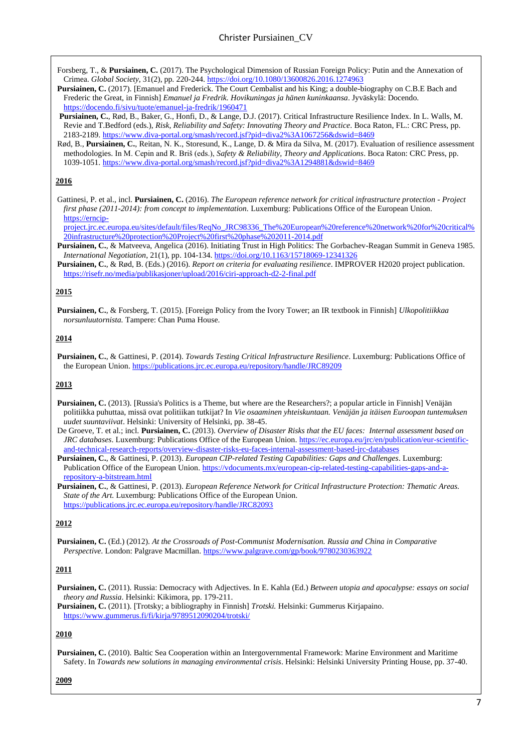Forsberg, T., & **Pursiainen, C.** (2017). The Psychological Dimension of Russian Foreign Policy: Putin and the Annexation of Crimea. *Global Society*, 31(2), pp. 220-244.<https://doi.org/10.1080/13600826.2016.1274963>

**Pursiainen, C.** (2017). [Emanuel and Frederick. The Court Cembalist and his King; a double-biography on C.B.E Bach and Frederic the Great, in Finnish] *Emanuel ja Fredrik. Hovikuningas ja hänen kuninkaansa*. Jyväskylä: Docendo. <https://docendo.fi/sivu/tuote/emanuel-ja-fredrik/1960471>

**Pursiainen, C.**, Rød, B., Baker, G., Honfi, D., & Lange, D.J. (2017). Critical Infrastructure Resilience Index. In L. Walls, M. Revie and T.Bedford (eds.), *Risk, Reliability and Safety: Innovating Theory and Practice*. Boca Raton, FL.: CRC Press, pp. 2183-2189. <https://www.diva-portal.org/smash/record.jsf?pid=diva2%3A1067256&dswid=8469>

Rød, B., **Pursiainen, C.**, Reitan, N. K., Storesund, K., Lange, D. & Mira da Silva, M. (2017). Evaluation of resilience assessment methodologies. In M. Cepin and R. Briš (eds.), *Safety & Reliability, Theory and Applications*. Boca Raton: CRC Press, pp. 1039-1051. <https://www.diva-portal.org/smash/record.jsf?pid=diva2%3A1294881&dswid=8469>

#### **2016**

Gattinesi, P. et al., incl. **Pursiainen, C.** (2016). *The European reference network for critical infrastructure protection - Project first phase (2011-2014): from concept to implementation.* Luxemburg: Publications Office of the European Union. [https://erncip-](https://erncip-project.jrc.ec.europa.eu/sites/default/files/ReqNo_JRC98336_The%20European%20reference%20network%20for%20critical%20infrastructure%20protection%20Project%20first%20phase%202011-2014.pdf)

[project.jrc.ec.europa.eu/sites/default/files/ReqNo\\_JRC98336\\_The%20European%20reference%20network%20for%20critical%](https://erncip-project.jrc.ec.europa.eu/sites/default/files/ReqNo_JRC98336_The%20European%20reference%20network%20for%20critical%20infrastructure%20protection%20Project%20first%20phase%202011-2014.pdf) [20infrastructure%20protection%20Project%20first%20phase%202011-2014.pdf](https://erncip-project.jrc.ec.europa.eu/sites/default/files/ReqNo_JRC98336_The%20European%20reference%20network%20for%20critical%20infrastructure%20protection%20Project%20first%20phase%202011-2014.pdf)

**Pursiainen, C.**, & Matveeva, Angelica (2016). Initiating Trust in High Politics: The Gorbachev-Reagan Summit in Geneva 1985. *International Negotiation*, 21(1), pp. 104-134. <https://doi.org/10.1163/15718069-12341326>

**Pursiainen, C.**, & Rød, B. (Eds.) (2016). *Report on criteria for evaluating resilience*. IMPROVER H2020 project publication. <https://risefr.no/media/publikasjoner/upload/2016/ciri-approach-d2-2-final.pdf>

#### **2015**

**Pursiainen, C.**, & Forsberg, T. (2015). [Foreign Policy from the Ivory Tower; an IR textbook in Finnish] *Ulkopolitiikkaa norsunluutornista.* Tampere: Chan Puma House.

#### **2014**

**Pursiainen, C.**, & Gattinesi, P. (2014). *Towards Testing Critical Infrastructure Resilience*. Luxemburg: Publications Office of the European Union.<https://publications.jrc.ec.europa.eu/repository/handle/JRC89209>

#### **2013**

- **Pursiainen, C.** (2013). [Russia's Politics is a Theme, but where are the Researchers?; a popular article in Finnish] Venäjän politiikka puhuttaa, missä ovat politiikan tutkijat? In *Vie osaaminen yhteiskuntaan. Venäjän ja itäisen Euroopan tuntemuksen uudet suuntaviivat*. Helsinki: University of Helsinki, pp. 38-45.
- De Groeve, T. et al.; incl. **Pursiainen, C.** (2013). *Overview of Disaster Risks that the EU faces: Internal assessment based on JRC databases*. Luxemburg: Publications Office of the European Union. [https://ec.europa.eu/jrc/en/publication/eur-scientific](https://ec.europa.eu/jrc/en/publication/eur-scientific-and-technical-research-reports/overview-disaster-risks-eu-faces-internal-assessment-based-jrc-databases)[and-technical-research-reports/overview-disaster-risks-eu-faces-internal-assessment-based-jrc-databases](https://ec.europa.eu/jrc/en/publication/eur-scientific-and-technical-research-reports/overview-disaster-risks-eu-faces-internal-assessment-based-jrc-databases)
- **Pursiainen, C.**, & Gattinesi, P. (2013). *European CIP-related Testing Capabilities: Gaps and Challenges*. Luxemburg: Publication Office of the European Union. [https://vdocuments.mx/european-cip-related-testing-capabilities-gaps-and-a](https://vdocuments.mx/european-cip-related-testing-capabilities-gaps-and-a-repository-a-bitstream.html)[repository-a-bitstream.html](https://vdocuments.mx/european-cip-related-testing-capabilities-gaps-and-a-repository-a-bitstream.html)

**Pursiainen, C.**, & Gattinesi, P. (2013). *European Reference Network for Critical Infrastructure Protection: Thematic Areas. State of the Art.* Luxemburg: Publications Office of the European Union. <https://publications.jrc.ec.europa.eu/repository/handle/JRC82093>

#### **2012**

**Pursiainen, C.** (Ed.) (2012). *At the Crossroads of Post-Communist Modernisation. Russia and China in Comparative Perspective*. London: Palgrave Macmillan[. https://www.palgrave.com/gp/book/9780230363922](https://www.palgrave.com/gp/book/9780230363922)

#### **2011**

**Pursiainen, C.** (2011). Russia: Democracy with Adjectives. In E. Kahla (Ed.) *Between utopia and apocalypse: essays on social theory and Russia*. Helsinki: Kikimora, pp. 179-211.

**Pursiainen, C.** (2011). [Trotsky; a bibliography in Finnish] *Trotski.* Helsinki: Gummerus Kirjapaino. <https://www.gummerus.fi/fi/kirja/9789512090204/trotski/>

#### **2010**

**Pursiainen, C.** (2010). Baltic Sea Cooperation within an Intergovernmental Framework: Marine Environment and Maritime Safety. In *Towards new solutions in managing environmental crisis*. Helsinki: Helsinki University Printing House, pp. 37-40.

#### **2009**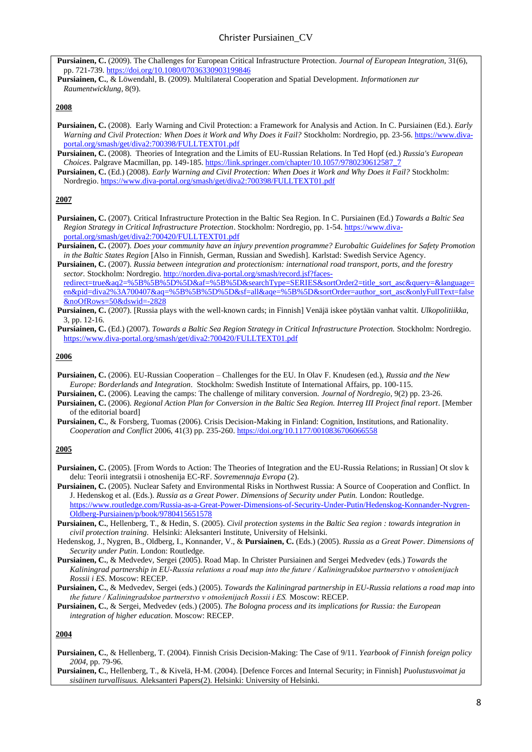- **Pursiainen, C.** (2009). The Challenges for European Critical Infrastructure Protection. *Journal of European Integration*, 31(6), pp. 721-739. <https://doi.org/10.1080/07036330903199846>
- **Pursiainen, C.**, & Löwendahl, B. (2009). Multilateral Cooperation and Spatial Development. *Informationen zur Raumentwicklung*, 8(9).

#### **2008**

- **Pursiainen, C.** (2008). Early Warning and Civil Protection: a Framework for Analysis and Action. In C. Pursiainen (Ed.). *Early Warning and Civil Protection: When Does it Work and Why Does it Fail?* Stockholm: Nordregio, pp. 23-56. [https://www.diva](https://www.diva-portal.org/smash/get/diva2:700398/FULLTEXT01.pdf)[portal.org/smash/get/diva2:700398/FULLTEXT01.pdf](https://www.diva-portal.org/smash/get/diva2:700398/FULLTEXT01.pdf)
- **Pursiainen, C.** (2008). Theories of Integration and the Limits of EU-Russian Relations. In Ted Hopf (ed.) *Russia's European Choices*. Palgrave Macmillan, pp. 149-185. [https://link.springer.com/chapter/10.1057/9780230612587\\_7](https://link.springer.com/chapter/10.1057/9780230612587_7)
- **Pursiainen, C.** (Ed.) (2008). *Early Warning and Civil Protection: When Does it Work and Why Does it Fail?* Stockholm: Nordregio[. https://www.diva-portal.org/smash/get/diva2:700398/FULLTEXT01.pdf](https://www.diva-portal.org/smash/get/diva2:700398/FULLTEXT01.pdf)

#### **2007**

- **Pursiainen, C.** (2007). Critical Infrastructure Protection in the Baltic Sea Region. In C. Pursiainen (Ed.) *Towards a Baltic Sea Region Strategy in Critical Infrastructure Protection*. Stockholm: Nordregio, pp. 1-54[. https://www.diva](https://www.diva-portal.org/smash/get/diva2:700420/FULLTEXT01.pdf)[portal.org/smash/get/diva2:700420/FULLTEXT01.pdf](https://www.diva-portal.org/smash/get/diva2:700420/FULLTEXT01.pdf)
- **Pursiainen, C.** (2007). *Does your community have an injury prevention programme? Eurobaltic Guidelines for Safety Promotion in the Baltic States Region* [Also in Finnish, German, Russian and Swedish]. Karlstad: Swedish Service Agency.
- **Pursiainen, C.** (2007). *Russia between integration and protectionism: international road transport, ports, and the forestry sector.* Stockholm: Nordregio. [http://norden.diva-portal.org/smash/record.jsf?faces](http://norden.diva-portal.org/smash/record.jsf?faces-redirect=true&aq2=%5B%5B%5D%5D&af=%5B%5D&searchType=SERIES&sortOrder2=title_sort_asc&query=&language=en&pid=diva2%3A700407&aq=%5B%5B%5D%5D&sf=all&aqe=%5B%5D&sortOrder=author_sort_asc&onlyFullText=false&noOfRows=50&dswid=-2828)[redirect=true&aq2=%5B%5B%5D%5D&af=%5B%5D&searchType=SERIES&sortOrder2=title\\_sort\\_asc&query=&language=](http://norden.diva-portal.org/smash/record.jsf?faces-redirect=true&aq2=%5B%5B%5D%5D&af=%5B%5D&searchType=SERIES&sortOrder2=title_sort_asc&query=&language=en&pid=diva2%3A700407&aq=%5B%5B%5D%5D&sf=all&aqe=%5B%5D&sortOrder=author_sort_asc&onlyFullText=false&noOfRows=50&dswid=-2828) [en&pid=diva2%3A700407&aq=%5B%5B%5D%5D&sf=all&aqe=%5B%5D&sortOrder=author\\_sort\\_asc&onlyFullText=false](http://norden.diva-portal.org/smash/record.jsf?faces-redirect=true&aq2=%5B%5B%5D%5D&af=%5B%5D&searchType=SERIES&sortOrder2=title_sort_asc&query=&language=en&pid=diva2%3A700407&aq=%5B%5B%5D%5D&sf=all&aqe=%5B%5D&sortOrder=author_sort_asc&onlyFullText=false&noOfRows=50&dswid=-2828) [&noOfRows=50&dswid=-2828](http://norden.diva-portal.org/smash/record.jsf?faces-redirect=true&aq2=%5B%5B%5D%5D&af=%5B%5D&searchType=SERIES&sortOrder2=title_sort_asc&query=&language=en&pid=diva2%3A700407&aq=%5B%5B%5D%5D&sf=all&aqe=%5B%5D&sortOrder=author_sort_asc&onlyFullText=false&noOfRows=50&dswid=-2828)

**Pursiainen, C.** (Ed.) (2007). *Towards a Baltic Sea Region Strategy in Critical Infrastructure Protection.* Stockholm: Nordregio. <https://www.diva-portal.org/smash/get/diva2:700420/FULLTEXT01.pdf>

#### **2006**

- **Pursiainen, C.** (2006). EU-Russian Cooperation Challenges for the EU. In Olav F. Knudesen (ed.), *Russia and the New Europe: Borderlands and Integration*. Stockholm: Swedish Institute of International Affairs, pp. 100-115.
- **Pursiainen, C.** (2006). Leaving the camps: The challenge of military conversion. *Journal of Nordregio*, 9(2) pp. 23-26.
- **Pursiainen, C.** (2006). *Regional Action Plan for Conversion in the Baltic Sea Region. Interreg III Project final report*. [Member of the editorial board]

**Pursiainen, C.**, & Forsberg, Tuomas (2006). Crisis Decision-Making in Finland: Cognition, Institutions, and Rationality. *Cooperation and Conflict* 2006, 41(3) pp. 235-260. <https://doi.org/10.1177/0010836706066558>

#### **2005**

- **Pursiainen, C.** (2005). [From Words to Action: The Theories of Integration and the EU-Russia Relations; in Russian] Ot slov k delu: Teorii integratsii i otnoshenija EC-RF. *Sovremennaja Evropa* (2).
- **Pursiainen, C.** (2005). Nuclear Safety and Environmental Risks in Northwest Russia: A Source of Cooperation and Conflict. In J. Hedenskog et al. (Eds.). *Russia as a Great Power. Dimensions of Security under Putin.* London: Routledge. [https://www.routledge.com/Russia-as-a-Great-Power-Dimensions-of-Security-Under-Putin/Hedenskog-Konnander-Nygren-](https://www.routledge.com/Russia-as-a-Great-Power-Dimensions-of-Security-Under-Putin/Hedenskog-Konnander-Nygren-Oldberg-Pursiainen/p/book/9780415651578)[Oldberg-Pursiainen/p/book/9780415651578](https://www.routledge.com/Russia-as-a-Great-Power-Dimensions-of-Security-Under-Putin/Hedenskog-Konnander-Nygren-Oldberg-Pursiainen/p/book/9780415651578)
- **Pursiainen, C.**, Hellenberg, T., & Hedin, S. (2005). *Civil protection systems in the Baltic Sea region : towards integration in civil protection training*. Helsinki: Aleksanteri Institute, University of Helsinki.
- Hedenskog, J., Nygren, B., Oldberg, I., Konnander, V., & **Pursiainen, C.** (Eds.) (2005). *Russia as a Great Power. Dimensions of Security under Putin*. London: Routledge.
- **Pursiainen, C.**, & Medvedev, Sergei (2005). Road Map. In Christer Pursiainen and Sergei Medvedev (eds.) *Towards the Kaliningrad partnership in EU-Russia relations a road map into the future / Kaliningradskoe partnerstvo v otnošenijach Rossii i ES*. Moscow: RECEP.
- **Pursiainen, C.**, & Medvedev, Sergei (eds.) (2005). *Towards the Kaliningrad partnership in EU-Russia relations a road map into the future / Kaliningradskoe partnerstvo v otnošenijach Rossii i ES.* Moscow: RECEP.
- **Pursiainen, C.**, & Sergei, Medvedev (eds.) (2005). *The Bologna process and its implications for Russia: the European integration of higher education*. Moscow: RECEP.

#### **2004**

- **Pursiainen, C.**, & Hellenberg, T. (2004). Finnish Crisis Decision-Making: The Case of 9/11. *Yearbook of Finnish foreign policy 2004*, pp. 79-96.
- **Pursiainen, C.**, Hellenberg, T., & Kivelä, H-M. (2004). [Defence Forces and Internal Security; in Finnish] *Puolustusvoimat ja sisäinen turvallisuus.* Aleksanteri Papers(2). Helsinki: University of Helsinki.

**Pursiainen, C.** (2007). [Russia plays with the well-known cards; in Finnish] Venäjä iskee pöytään vanhat valtit. *Ulkopolitiikka*, 3, pp. 12-16.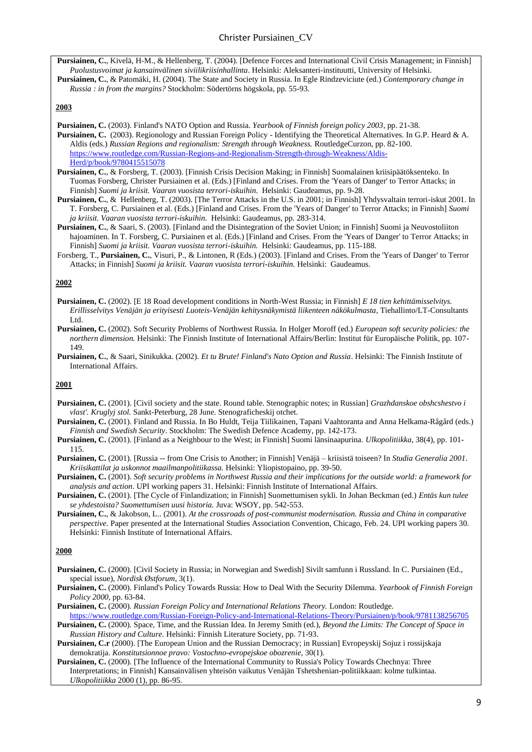**Pursiainen, C.**, Kivelä, H-M., & Hellenberg, T. (2004). [Defence Forces and International Civil Crisis Management; in Finnish] *Puolustusvoimat ja kansainvälinen siviilikriisinhallinta*. Helsinki: Aleksanteri-instituutti, University of Helsinki. **Pursiainen, C.**, & Patomäki, H. (2004). The State and Society in Russia. In Egle Rindzeviciute (ed.) *Contemporary change in Russia : in from the margins?* Stockholm: Södertörns högskola, pp. 55-93.

#### **2003**

- **Pursiainen, C.** (2003). Finland's NATO Option and Russia. *Yearbook of Finnish foreign policy 2003*, pp. 21-38. **Pursiainen, C.** (2003). Regionology and Russian Foreign Policy - Identifying the Theoretical Alternatives. In G.P. Heard & A. Aldis (eds.) *Russian Regions and regionalism: Strength through Weakness.* RoutledgeCurzon, pp. 82-100. [https://www.routledge.com/Russian-Regions-and-Regionalism-Strength-through-Weakness/Aldis-](https://www.routledge.com/Russian-Regions-and-Regionalism-Strength-through-Weakness/Aldis-Herd/p/book/9780415515078)[Herd/p/book/9780415515078](https://www.routledge.com/Russian-Regions-and-Regionalism-Strength-through-Weakness/Aldis-Herd/p/book/9780415515078)
- **Pursiainen, C.**, & Forsberg, T. (2003). [Finnish Crisis Decision Making; in Finnish] Suomalainen kriisipäätöksenteko. In Tuomas Forsberg, Christer Pursiainen et al. (Eds.) [Finland and Crises. From the 'Years of Danger' to Terror Attacks; in Finnish] *Suomi ja kriisit. Vaaran vuosista terrori-iskuihin*. Helsinki: Gaudeamus, pp. 9-28.
- **Pursiainen, C.**, & Hellenberg, T. (2003). [The Terror Attacks in the U.S. in 2001; in Finnish] Yhdysvaltain terrori-iskut 2001. In T. Forsberg, C. Pursiainen et al. (Eds.) [Finland and Crises. From the 'Years of Danger' to Terror Attacks; in Finnish] *Suomi ja kriisit. Vaaran vuosista terrori-iskuihin*. Helsinki: Gaudeamus, pp. 283-314.
- **Pursiainen, C.**, & Saari, S. (2003). [Finland and the Disintegration of the Soviet Union; in Finnish] Suomi ja Neuvostoliiton hajoaminen. In T. Forsberg, C. Pursiainen et al. (Eds.) [Finland and Crises. From the 'Years of Danger' to Terror Attacks; in Finnish] *Suomi ja kriisit. Vaaran vuosista terrori-iskuihin.* Helsinki: Gaudeamus, pp. 115-188.
- Forsberg, T., **Pursiainen, C.**, Visuri, P., & Lintonen, R (Eds.) (2003). [Finland and Crises. From the 'Years of Danger' to Terror Attacks; in Finnish] *Suomi ja kriisit. Vaaran vuosista terrori-iskuihin.* Helsinki: Gaudeamus.

#### **2002**

- **Pursiainen, C.** (2002). [E 18 Road development conditions in North-West Russia; in Finnish] *E 18 tien kehittämisselvitys. Erillisselvitys Venäjän ja erityisesti Luoteis-Venäjän kehitysnäkymistä liikenteen näkökulmasta*, Tiehallinto/LT-Consultants Ltd.
- **Pursiainen, C.** (2002). Soft Security Problems of Northwest Russia. In Holger Moroff (ed.) *European soft security policies: the northern dimension.* Helsinki: The Finnish Institute of International Affairs/Berlin: Institut für Europäische Politik, pp. 107- 149.
- **Pursiainen, C.**, & Saari, Sinikukka. (2002). *Et tu Brute! Finland's Nato Option and Russia*. Helsinki: The Finnish Institute of International Affairs.

#### **2001**

- **Pursiainen, C.** (2001). [Civil society and the state. Round table. Stenographic notes; in Russian] *Grazhdanskoe obshcshestvo i vlast'. Kruglyj stol.* Sankt-Peterburg, 28 June. Stenograficheskij otchet.
- **Pursiainen, C.** (2001). Finland and Russia. In Bo Huldt, Teija Tiilikainen, Tapani Vaahtoranta and Anna Helkama-Rågård (eds.) *Finnish and Swedish Security*. Stockholm: The Swedish Defence Academy, pp. 142-173.
- **Pursiainen, C.** (2001). [Finland as a Neighbour to the West; in Finnish] Suomi länsinaapurina. *Ulkopolitiikka*, 38(4), pp. 101- 115.
- **Pursiainen, C.** (2001). [Russia -- from One Crisis to Another; in Finnish] Venäjä kriisistä toiseen? In *Studia Generalia 2001*. *Kriisikattilat ja uskonnot maailmanpolitiikassa.* Helsinki: Yliopistopaino, pp. 39-50.
- **Pursiainen, C.** (2001). *Soft security problems in Northwest Russia and their implications for the outside world: a framework for analysis and action*. UPI working papers 31. Helsinki: Finnish Institute of International Affairs.
- **Pursiainen, C.** (2001). [The Cycle of Finlandization; in Finnish] Suomettumisen sykli. In Johan Beckman (ed.) *Entäs kun tulee se yhdestoista? Suomettumisen uusi historia.* Juva: WSOY, pp. 542-553.
- **Pursiainen, C.**, & Jakobson, L.. (2001). *At the crossroads of post-communist modernisation. Russia and China in comparative perspective.* Paper presented at the International Studies Association Convention, Chicago, Feb. 24. UPI working papers 30. Helsinki: Finnish Institute of International Affairs.

#### **2000**

- **Pursiainen, C.** (2000). [Civil Society in Russia; in Norwegian and Swedish] Sivilt samfunn i Russland. In C. Pursiainen (Ed., special issue), *Nordisk Østforum*, 3(1).
- **Pursiainen, C.** (2000). Finland's Policy Towards Russia: How to Deal With the Security Dilemma. *Yearbook of Finnish Foreign Policy 2000*, pp. 63-84.
- **Pursiainen, C.** (2000). *Russian Foreign Policy and International Relations Theory.* London: Routledge.
- <https://www.routledge.com/Russian-Foreign-Policy-and-International-Relations-Theory/Pursiainen/p/book/9781138256705> **Pursiainen, C.** (2000). Space, Time, and the Russian Idea. In Jeremy Smith (ed.), *Beyond the Limits: The Concept of Space in Russian History and Culture.* Helsinki: Finnish Literature Society, pp. 71-93.
- **Pursiainen, C.r** (2000). [The European Union and the Russian Democracy; in Russian] Evropeyskij Sojuz i rossijskaja demokratija. *Konstitutsionnoe pravo: Vostochno-evropejskoe obozrenie*, 30(1).
- **Pursiainen, C.** (2000). [The Influence of the International Community to Russia's Policy Towards Chechnya: Three Interpretations; in Finnish] Kansainvälisen yhteisön vaikutus Venäjän Tshetshenian-politiikkaan: kolme tulkintaa. *Ulkopolitiikka* 2000 (1), pp. 86-95.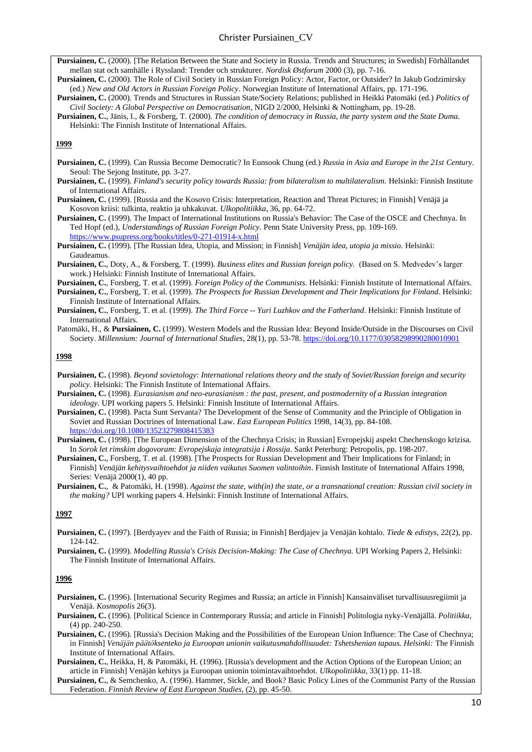Christer Pursiainen\_CV

**Pursiainen, C.** (2000). [The Relation Between the State and Society in Russia. Trends and Structures; in Swedish] Förhållandet mellan stat och samhälle i Ryssland: Trender och strukturer. *Nordisk Østforum* 2000 (3), pp. 7-16.

**Pursiainen, C.** (2000). The Role of Civil Society in Russian Foreign Policy: Actor, Factor, or Outsider? In Jakub Godzimirsky (ed.) *New and Old Actors in Russian Foreign Policy*. Norwegian Institute of International Affairs, pp. 171-196.

**Pursiainen, C.** (2000). Trends and Structures in Russian State/Society Relations; published in Heikki Patomäki (ed.) *Politics of Civil Society: A Global Perspective on Democratisation*, NIGD 2/2000, Helsinki & Nottingham, pp. 19-28.

**Pursiainen, C.**, Jänis, I., & Forsberg, T. (2000). *The condition of democracy in Russia, the party system and the State Duma.* Helsinki: The Finnish Institute of International Affairs.

#### **1999**

- **Pursiainen, C.** (1999). Can Russia Become Democratic? In Eunsook Chung (ed.) *Russia in Asia and Europe in the 21st Century*. Seoul: The Sejong Institute, pp. 3-27.
- **Pursiainen, C.** (1999). *Finland's security policy towards Russia: from bilateralism to multilateralism.* Helsinki: Finnish Institute of International Affairs.
- **Pursiainen, C.** (1999). [Russia and the Kosovo Crisis: Interpretation, Reaction and Threat Pictures; in Finnish] Venäjä ja Kosovon kriisi: tulkinta, reaktio ja uhkakuvat. *Ulkopolitiikka*, 36, pp. 64-72.

**Pursiainen, C.** (1999). The Impact of International Institutions on Russia's Behavior: The Case of the OSCE and Chechnya. In Ted Hopf (ed.), *Understandings of Russian Foreign Policy*. Penn State University Press, pp. 109-169. <https://www.psupress.org/books/titles/0-271-01914-x.html>

**Pursiainen, C.** (1999). [The Russian Idea, Utopia, and Mission; in Finnish] *Venäjän idea, utopia ja missio.* Helsinki: Gaudeamus.

**Pursiainen, C.**, Doty, A., & Forsberg, T. (1999). *Business elites and Russian foreign policy.* (Based on S. Medvedev's larger work.) Helsinki: Finnish Institute of International Affairs.

**Pursiainen, C.**, Forsberg, T. et al. (1999). *Foreign Policy of the Communists.* Helsinki: Finnish Institute of International Affairs.

- **Pursiainen, C.**, Forsberg, T. et al. (1999). *The Prospects for Russian Development and Their Implications for Finland*. Helsinki: Finnish Institute of International Affairs.
- **Pursiainen, C.**, Forsberg, T. et al. (1999). *The Third Force -- Yuri Luzhkov and the Fatherland*. Helsinki: Finnish Institute of International Affairs.
- Patomäki, H., & **Pursiainen, C.** (1999). Western Models and the Russian Idea: Beyond Inside/Outside in the Discourses on Civil Society. *Millennium: Journal of International Studies*, 28(1), pp. 53-78. <https://doi.org/10.1177/03058298990280010901>

#### **1998**

- **Pursiainen, C.** (1998). *Beyond sovietology: International relations theory and the study of Soviet/Russian foreign and security policy.* Helsinki: The Finnish Institute of International Affairs.
- **Pursiainen, C.** (1998). *Eurasianism and neo-eurasianism : the past, present, and postmodernity of a Russian integration ideology.* UPI working papers 5. Helsinki: Finnish Institute of International Affairs.
- **Pursiainen, C.** (1998). Pacta Sunt Servanta? The Development of the Sense of Community and the Principle of Obligation in Soviet and Russian Doctrines of International Law. *East European Politics* 1998, 14(3), pp. 84-108. <https://doi.org/10.1080/13523279808415383>
- **Pursiainen, C.** (1998). [The European Dimension of the Chechnya Crisis; in Russian] Evropejskij aspekt Chechenskogo krizisa. In *Sorok let rimskim dogovoram: Evropejskaja integratsija i Rossija*. Sankt Peterburg: Petropolis, pp. 198-207.
- **Pursiainen, C.**, Forsberg, T. et al. (1998). [The Prospects for Russian Development and Their Implications for Finland; in Finnish] *Venäjän kehitysvaihtoehdot ja niiden vaikutus Suomen valintoihin*. Finnish Institute of International Affairs 1998, Series: Venäjä 2000(1), 40 pp.

**Pursiainen, C.**, & Patomäki, H. (1998). *Against the state, with(in) the state, or a transnational creation: Russian civil society in the making?* UPI working papers 4. Helsinki: Finnish Institute of International Affairs.

#### **1997**

- **Pursiainen, C.** (1997). [Berdyayev and the Faith of Russia; in Finnish] Berdjajev ja Venäjän kohtalo. *Tiede & edistys*, 22(2), pp. 124-142.
- **Pursiainen, C.** (1999). *Modelling Russia's Crisis Decision-Making: The Case of Chechnya.* UPI Working Papers 2, Helsinki: The Finnish Institute of International Affairs.

#### **1996**

- **Pursiainen, C.** (1996). [International Security Regimes and Russia; an article in Finnish] Kansainväliset turvallisuusregiimit ja Venäjä. *Kosmopolis* 26(3).
- **Pursiainen, C.** (1996). [Political Science in Contemporary Russia; and article in Finnish] Politologia nyky-Venäjällä. *Politiikka*, (4) pp. 240-250.
- **Pursiainen, C.** (1996). [Russia's Decision Making and the Possibilities of the European Union Influence: The Case of Chechnya; in Finnish] *Venäjän päätöksenteko ja Euroopan unionin vaikutusmahdollisuudet: Tshetshenian tapaus. Helsinki:* The Finnish Institute of International Affairs.
- **Pursiainen, C.**, Heikka, H, & Patomäki, H. (1996). [Russia's development and the Action Options of the European Union; an article in Finnish] Venäjän kehitys ja Euroopan unionin toimintavaihtoehdot. *Ulkopolitiikka*, 33(1) pp. 11-18.

**Pursiainen, C.**, & Semchenko, A. (1996). Hammer, Sickle, and Book? Basic Policy Lines of the Communist Party of the Russian Federation. *Finnish Review of East European Studies*, (2), pp. 45-50.